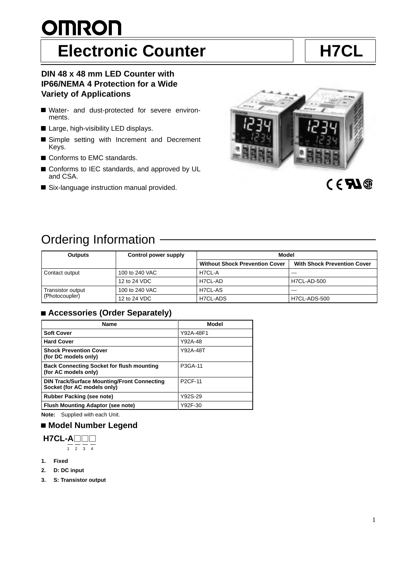# <u>OMRON</u> **Electronic Counter H7CL**

### **DIN 48 x 48 mm LED Counter with IP66/NEMA 4 Protection for a Wide Variety of Applications**

- Water- and dust-protected for severe environments.
- Large, high-visibility LED displays.
- Simple setting with Increment and Decrement Keys.
- Conforms to EMC standards.
- Conforms to IEC standards, and approved by UL and CSA.
- Six-language instruction manual provided.



# Ordering Information

| <b>Outputs</b>    | Control power supply | Model                                 |                                    |
|-------------------|----------------------|---------------------------------------|------------------------------------|
|                   |                      | <b>Without Shock Prevention Cover</b> | <b>With Shock Prevention Cover</b> |
| Contact output    | 100 to 240 VAC       | H7CL-A                                | $- - -$                            |
|                   | 12 to 24 VDC         | H7CL-AD                               | <b>H7CL-AD-500</b>                 |
| Transistor output | 100 to 240 VAC       | H7CL-AS                               | $- - -$                            |
| (Photocoupler)    | 12 to 24 VDC         | H7CL-ADS                              | H7CL-ADS-500                       |

## ■ Accessories (Order Separately)

| <b>Name</b>                                                                       | Model          |
|-----------------------------------------------------------------------------------|----------------|
| <b>Soft Cover</b>                                                                 | Y92A-48F1      |
| <b>Hard Cover</b>                                                                 | Y92A-48        |
| <b>Shock Prevention Cover</b><br>(for DC models only)                             | Y92A-48T       |
| <b>Back Connecting Socket for flush mounting</b><br>(for AC models only)          | P3GA-11        |
| <b>DIN Track/Surface Mounting/Front Connecting</b><br>Socket (for AC models only) | <b>P2CF-11</b> |
| <b>Rubber Packing (see note)</b>                                                  | Y92S-29        |
| <b>Flush Mounting Adaptor (see note)</b>                                          | Y92F-30        |

**Note:** Supplied with each Unit.

## **Model Number Legend**

**H7CL-A**  $\frac{1}{1}$   $\frac{1}{2}$   $\frac{1}{3}$   $\frac{1}{4}$ 

- **1. Fixed**
- **2. D: DC input**
- **3. S: Transistor output**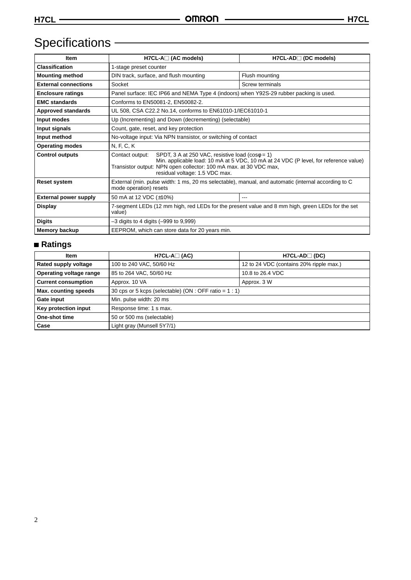# Specifications **CONSERVING CONSERVING**

| Item                         | $H7CL-A \square$ (AC models)                                                                                                                                                                                                                                             | H7CL-AD□ (DC models) |  |
|------------------------------|--------------------------------------------------------------------------------------------------------------------------------------------------------------------------------------------------------------------------------------------------------------------------|----------------------|--|
| <b>Classification</b>        | 1-stage preset counter                                                                                                                                                                                                                                                   |                      |  |
| <b>Mounting method</b>       | DIN track, surface, and flush mounting                                                                                                                                                                                                                                   | Flush mounting       |  |
| <b>External connections</b>  | Socket                                                                                                                                                                                                                                                                   | Screw terminals      |  |
| <b>Enclosure ratings</b>     | Panel surface: IEC IP66 and NEMA Type 4 (indoors) when Y92S-29 rubber packing is used.                                                                                                                                                                                   |                      |  |
| <b>EMC standards</b>         | Conforms to EN50081-2, EN50082-2.                                                                                                                                                                                                                                        |                      |  |
| <b>Approved standards</b>    | UL 508, CSA C22.2 No.14, conforms to EN61010-1/IEC61010-1                                                                                                                                                                                                                |                      |  |
| Input modes                  | Up (Incrementing) and Down (decrementing) (selectable)                                                                                                                                                                                                                   |                      |  |
| Input signals                | Count, gate, reset, and key protection                                                                                                                                                                                                                                   |                      |  |
| Input method                 | No-voltage input: Via NPN transistor, or switching of contact                                                                                                                                                                                                            |                      |  |
| <b>Operating modes</b>       | N, F, C, K                                                                                                                                                                                                                                                               |                      |  |
| <b>Control outputs</b>       | SPDT, 3 A at 250 VAC, resistive load ( $cos\phi = 1$ )<br>Contact output:<br>Min. applicable load: 10 mA at 5 VDC, 10 mA at 24 VDC (P level, for reference value)<br>Transistor output: NPN open collector: 100 mA max. at 30 VDC max,<br>residual voltage: 1.5 VDC max. |                      |  |
| <b>Reset system</b>          | External (min. pulse width: 1 ms, 20 ms selectable), manual, and automatic (internal according to C<br>mode operation) resets                                                                                                                                            |                      |  |
| <b>External power supply</b> | 50 mA at 12 VDC (±10%)<br>---                                                                                                                                                                                                                                            |                      |  |
| <b>Display</b>               | 7-segment LEDs (12 mm high, red LEDs for the present value and 8 mm high, green LEDs for the set<br>value)                                                                                                                                                               |                      |  |
| <b>Digits</b>                | $-3$ digits to 4 digits ( $-999$ to $9,999$ )                                                                                                                                                                                                                            |                      |  |
| <b>Memory backup</b>         | EEPROM, which can store data for 20 years min.                                                                                                                                                                                                                           |                      |  |

## **Ratings**

| Item                       | $H7CL-A1(AC)$                                           | $H7CL-AD$ (DC)                          |  |
|----------------------------|---------------------------------------------------------|-----------------------------------------|--|
| Rated supply voltage       | 100 to 240 VAC, 50/60 Hz                                | 12 to 24 VDC (contains 20% ripple max.) |  |
| Operating voltage range    | 85 to 264 VAC, 50/60 Hz                                 | 10.8 to 26.4 VDC                        |  |
| <b>Current consumption</b> | Approx. 10 VA                                           | Approx. 3 W                             |  |
| Max. counting speeds       | 30 cps or 5 kcps (selectable) (ON : OFF ratio = $1:1$ ) |                                         |  |
| Gate input                 | Min. pulse width: 20 ms                                 |                                         |  |
| Key protection input       | Response time: 1 s max.                                 |                                         |  |
| One-shot time              | 50 or 500 ms (selectable)                               |                                         |  |
| Case                       | Light gray (Munsell 5Y7/1)                              |                                         |  |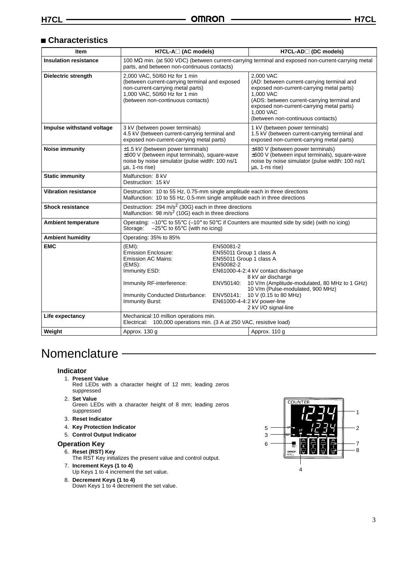### **Characteristics**

| <b>Item</b>                  | H7CL-A□ (AC models)                                                                                                                                                                        |                                                                                                        | H7CL-AD□ (DC models)                                                                                                                                                                                                                                            |  |
|------------------------------|--------------------------------------------------------------------------------------------------------------------------------------------------------------------------------------------|--------------------------------------------------------------------------------------------------------|-----------------------------------------------------------------------------------------------------------------------------------------------------------------------------------------------------------------------------------------------------------------|--|
| <b>Insulation resistance</b> | 100 MΩ min. (at 500 VDC) (between current-carrying terminal and exposed non-current-carrying metal<br>parts, and between non-continuous contacts)                                          |                                                                                                        |                                                                                                                                                                                                                                                                 |  |
| <b>Dielectric strength</b>   | 2,000 VAC, 50/60 Hz for 1 min<br>(between current-carrying terminal and exposed<br>non-current-carrying metal parts)<br>1,000 VAC, 50/60 Hz for 1 min<br>(between non-continuous contacts) |                                                                                                        | 2.000 VAC<br>(AD: between current-carrying terminal and<br>exposed non-current-carrying metal parts)<br>1,000 VAC<br>(ADS: between current-carrying terminal and<br>exposed non-current-carrying metal parts)<br>1,000 VAC<br>(between non-continuous contacts) |  |
| Impulse withstand voltage    | 3 kV (between power terminals)<br>4.5 kV (between current-carrying terminal and<br>exposed non-current-carrying metal parts)                                                               |                                                                                                        | 1 kV (between power terminals)<br>1.5 kV (between current-carrying terminal and<br>exposed non-current-carrying metal parts)                                                                                                                                    |  |
| Noise immunity               | $\pm$ 1.5 kV (between power terminals)<br>±600 V (between input terminals), square-wave<br>noise by noise simulator (pulse width: 100 ns/1<br>us, 1-ns rise)                               |                                                                                                        | $\pm 480$ V (between power terminals)<br>±600 V (between input terminals), square-wave<br>noise by noise simulator (pulse width: 100 ns/1<br>us, 1-ns rise)                                                                                                     |  |
| <b>Static immunity</b>       | Malfunction: 8 kV<br>Destruction: 15 kV                                                                                                                                                    |                                                                                                        |                                                                                                                                                                                                                                                                 |  |
| <b>Vibration resistance</b>  | Destruction: 10 to 55 Hz, 0.75-mm single amplitude each in three directions<br>Malfunction: 10 to 55 Hz, 0.5-mm single amplitude each in three directions                                  |                                                                                                        |                                                                                                                                                                                                                                                                 |  |
| <b>Shock resistance</b>      | Destruction: 294 m/s <sup>2</sup> (30G) each in three directions<br>Malfunction: 98 m/s <sup>2</sup> (10G) each in three directions                                                        |                                                                                                        |                                                                                                                                                                                                                                                                 |  |
| <b>Ambient temperature</b>   | Operating: -10°C to 55°C (-10° to 50°C if Counters are mounted side by side) (with no icing)<br>$-25^{\circ}$ C to 65 $^{\circ}$ C (with no icing)<br>Storage:                             |                                                                                                        |                                                                                                                                                                                                                                                                 |  |
| <b>Ambient humidity</b>      | Operating: 35% to 85%                                                                                                                                                                      |                                                                                                        |                                                                                                                                                                                                                                                                 |  |
| <b>EMC</b>                   | $(EMI)$ :<br><b>Emission Enclosure:</b><br><b>Emission AC Mains:</b><br>(EMS).<br>Immunity ESD:<br>Immunity RF-interference:<br><b>Immunity Conducted Disturbance:</b>                     | EN50081-2<br>EN55011 Group 1 class A<br>EN55011 Group 1 class A<br>EN50082-2<br>ENV50140:<br>ENV50141: | EN61000-4-2:4 kV contact discharge<br>8 kV air discharge<br>10 V/m (Amplitude-modulated, 80 MHz to 1 GHz)<br>10 V/m (Pulse-modulated, 900 MHz)<br>10 V (0.15 to 80 MHz)                                                                                         |  |
|                              | Immunity Burst:                                                                                                                                                                            |                                                                                                        | EN61000-4-4:2 kV power-line<br>2 kV I/O signal-line                                                                                                                                                                                                             |  |
| Life expectancy              | Mechanical: 10 million operations min.<br>Electrical: 100,000 operations min. (3 A at 250 VAC, resistive load)                                                                             |                                                                                                        |                                                                                                                                                                                                                                                                 |  |
| Weight                       | Approx. 130 g                                                                                                                                                                              |                                                                                                        | Approx. 110 g                                                                                                                                                                                                                                                   |  |

# **Nomenclature**

#### **Indicator**

- 1. **Present Value**
	- Red LEDs with a character height of 12 mm; leading zeros suppressed
- 2. **Set Value**
	- Green LEDs with a character height of 8 mm; leading zeros suppressed
- 3. **Reset Indicator**
- 4. **Key Protection Indicator**
- 5. **Control Output Indicator**

#### **Operation Key**

6. **Reset (RST) Key**

The RST Key initializes the present value and control output.

- 7. **Increment Keys (1 to 4)** Up Keys 1 to 4 increment the set value.
- 8. **Decrement Keys (1 to 4)** Down Keys 1 to 4 decrement the set value.

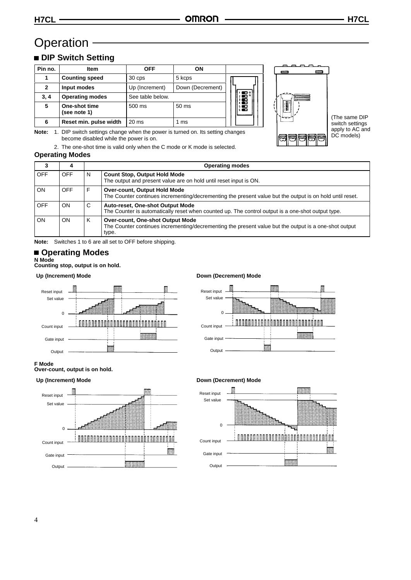# Operation -

# **DIP Switch Setting**

| Pin no.      | Item                          | <b>OFF</b>       | ON               |          |
|--------------|-------------------------------|------------------|------------------|----------|
|              | <b>Counting speed</b>         | 30 cps           | 5 kcps           |          |
| $\mathbf{2}$ | Input modes                   | Up (Increment)   | Down (Decrement) |          |
| 3, 4         | <b>Operating modes</b>        | See table below. |                  | .€°<br>т |
| 5            | One-shot time<br>(see note 1) | 500 ms           | 50 ms            | 滑雪       |
| 6            | Reset min. pulse width        | $20$ ms          | 1 ms             |          |

**Note:** 1. DIP switch settings change when the power is turned on. Its setting changes become disabled while the power is on.

2. The one-shot time is valid only when the C mode or K mode is selected.

### **Operating Modes**



(The same DIP switch settings apply to AC and DC models)

| 3          | 4          |   | <b>Operating modes</b>                                                                                                                             |  |  |
|------------|------------|---|----------------------------------------------------------------------------------------------------------------------------------------------------|--|--|
| OFF        | <b>OFF</b> | N | <b>Count Stop, Output Hold Mode</b><br>The output and present value are on hold until reset input is ON.                                           |  |  |
| ON         | <b>OFF</b> |   | Over-count, Output Hold Mode<br>The Counter continues incrementing/decrementing the present value but the output is on hold until reset.           |  |  |
| <b>OFF</b> | ON         | C | Auto-reset, One-shot Output Mode<br>The Counter is automatically reset when counted up. The control output is a one-shot output type.              |  |  |
| ON         | ON         | K | Over-count, One-shot Output Mode<br>The Counter continues incrementing/decrementing the present value but the output is a one-shot output<br>type. |  |  |

**Note:** Switches 1 to 6 are all set to OFF before shipping.

### **Operating Modes**

**F Mode**

Set value

Reset input

 $\Omega$ 

Count input Gate input Output

# **N Mode Counting stop, output is on hold.**

**Over-count, output is on hold.**



#### Up (Increment) Mode **Down (Decrement) Mode**



#### Up (Increment) Mode **Down (Decrement) Mode**

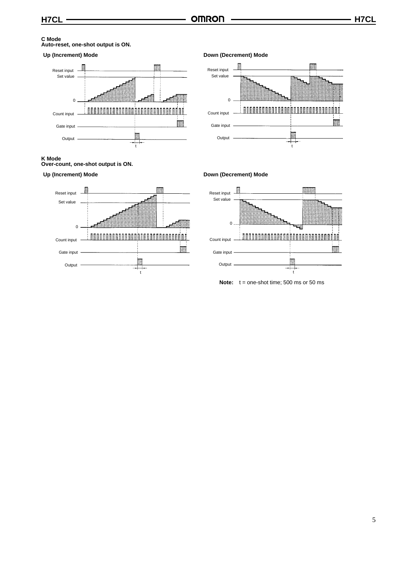# **C Mode Auto-reset, one-shot output is ON.**



# **K Mode Over-count, one-shot output is ON.**





Up (Increment) Mode **Down (Decrement) Mode** 



#### Up (Increment) Mode **Down (Decrement) Mode**



**Note:** t = one-shot time; 500 ms or 50 ms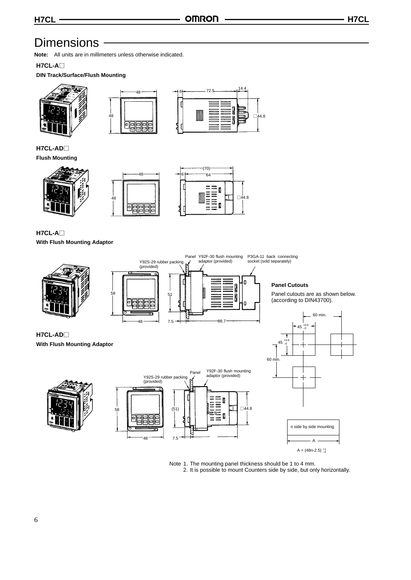# **Dimensions**

**Note:** All units are in millimeters unless otherwise indicated.

### **H7CL-A**

**DIN Track/Surface/Flush Mounting**







**H7CL-AD Flush Mounting**





.<br>48

7.5



**H7CL-A With Flush Mounting Adaptor**



Note 1. The mounting panel thickness should be 1 to 4 mm. 2. It is possible to mount Counters side by side, but only horizontally.

 $A = (48n-2.5)_{-0}^{+1}$ 

A

**H7CL-AD With Flush Mounting Adaptor**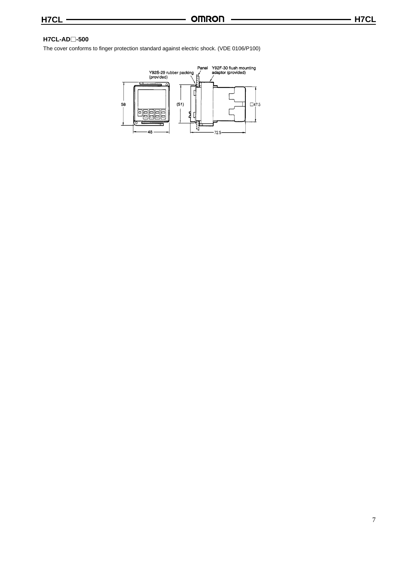### **H7CL-AD-500**

The cover conforms to finger protection standard against electric shock. (VDE 0106/P100)

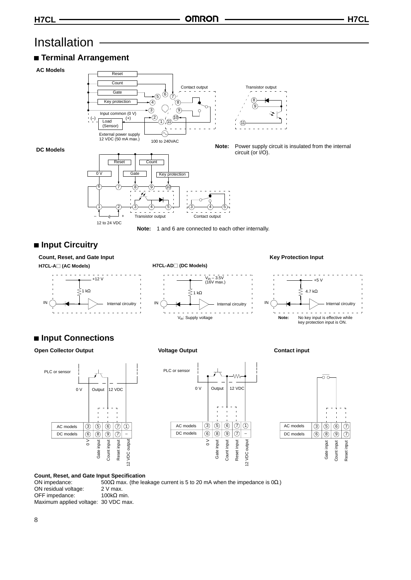# Installation

## **Terminal Arrangement**

#### **AC Models**



**Note:** Power supply circuit is insulated from the internal

#### **DC Models**



## ■ Input Circuitry

**Count, Reset, and Gate Input H7CL-A (AC Models)**



# V<sub>in</sub> – 3.5V<br>(16V max.)  $\stackrel{>}{\leq}$ 1 kΩ

**H7CL-AD (DC Models)**



#### **Key Protection Input**



# **Input Connections**

#### **Open Collector Output Voltage Output Contact input**







#### **Count, Reset, and Gate Input Specification**

ON impedance: 500Ω max. (the leakage current is 5 to 20 mA when the impedance is 0Ω.)<br>ON residual voltage: 2 V max. ON residual voltage:  $2$  V max.<br>OFF impedance:  $100kΩ$  min. OFF impedance: Maximum applied voltage: 30 VDC max.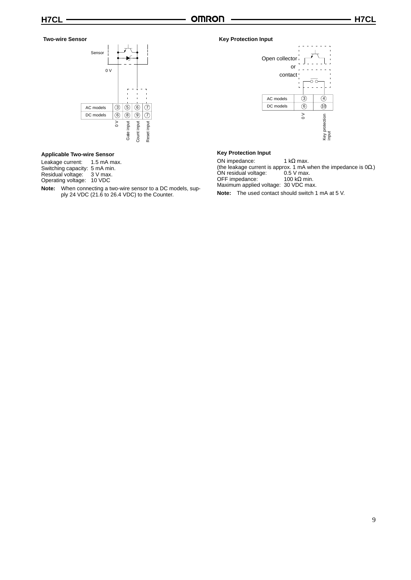#### **Two-wire Sensor**



### **Applicable Two-wire Sensor**

Leakage current: 1.5 mA max.

Switching capacity: 5 mA min.

Residual voltage: 3 V max.

Operating voltage: 10 VDC

**Note:** When connecting a two-wire sensor to a DC models, supply 24 VDC (21.6 to 26.4 VDC) to the Counter.

#### **Key Protection Input**



#### **Key Protection Input**

ON impedance:  $1 kΩ max$ . (the leakage current is approx. 1 mA when the impedance is  $0\Omega$ .) ON residual voltage: 0.5 V max. OFF impedance:  $100 kΩ min$ .

Maximum applied voltage: 30 VDC max.

**Note:** The used contact should switch 1 mA at 5 V.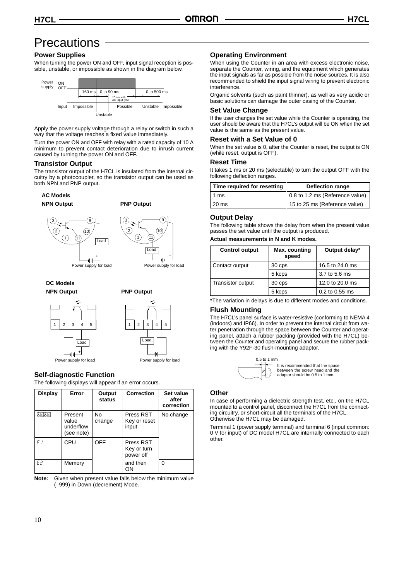# **Precautions**

### **Power Supplies**

When turning the power ON and OFF, input signal reception is possible, unstable, or impossible as shown in the diagram below.



Apply the power supply voltage through a relay or switch in such a way that the voltage reaches a fixed value immediately.

Turn the power ON and OFF with relay with a rated capacity of 10 A minimum to prevent contact deterioration due to inrush current caused by turning the power ON and OFF.

#### **Transistor Output**

The transistor output of the H7CL is insulated from the internal circuitry by a photocoupler, so the transistor output can be used as both NPN and PNP output.

3

#### **AC Models**

**NPN Output**





**DC Models NPN Output PNP Output**







#### **Self-diagnostic Function**

The following displays will appear if an error occurs.

| Display | Error                                       | Output<br>status    | <b>Correction</b>                     | Set value<br>after<br>correction |
|---------|---------------------------------------------|---------------------|---------------------------------------|----------------------------------|
| はににに    | Present<br>value<br>underflow<br>(see note) | <b>No</b><br>change | Press RST<br>Key or reset<br>input    | No change                        |
| F I     | CPU                                         | <b>OFF</b>          | Press RST<br>Key or turn<br>power off |                                  |
| E2.     | Memory                                      |                     | and then<br>ΟN                        | O                                |

**Note:** Given when present value falls below the minimum value (–999) in Down (decrement) Mode.

#### **Operating Environment**

When using the Counter in an area with excess electronic noise, separate the Counter, wiring, and the equipment which generates the input signals as far as possible from the noise sources. It is also recommended to shield the input signal wiring to prevent electronic interference.

Organic solvents (such as paint thinner), as well as very acidic or basic solutions can damage the outer casing of the Counter.

#### **Set Value Change**

If the user changes the set value while the Counter is operating, the user should be aware that the H7CL's output will be ON when the set value is the same as the present value.

#### **Reset with a Set Value of 0**

When the set value is 0, after the Counter is reset, the output is ON (while reset, output is OFF).

#### **Reset Time**

It takes 1 ms or 20 ms (selectable) to turn the output OFF with the following deflection ranges.

| Time required for resetting | Deflection range                |  |
|-----------------------------|---------------------------------|--|
| l 1 ms                      | 0.8 to 1.2 ms (Reference value) |  |
| 20 ms                       | 15 to 25 ms (Reference value)   |  |

#### **Output Delay**

The following table shows the delay from when the present value passes the set value until the output is produced.

#### **Actual measurements in N and K modes.**

| <b>Control output</b> | Max. counting<br>speed | Output delay*   |
|-----------------------|------------------------|-----------------|
| Contact output        | 30 cps                 | 16.5 to 24.0 ms |
|                       | 5 kcps                 | 3.7 to 5.6 ms   |
| Transistor output     | 30 cps                 | 12.0 to 20.0 ms |
|                       | 5 kcps                 | 0.2 to 0.55 ms  |

\*The variation in delays is due to different modes and conditions.

### **Flush Mounting**

The H7CL's panel surface is water-resistive (conforming to NEMA 4 (indoors) and IP66). In order to prevent the internal circuit from water penetration through the space between the Counter and operating panel, attach a rubber packing (provided with the H7CL) between the Counter and operating panel and secure the rubber packing with the Y92F-30 flush-mounting adaptor.



#### **Other**

In case of performing a dielectric strength test, etc., on the H7CL mounted to a control panel, disconnect the H7CL from the connecting circuitry, or short-circuit all the terminals of the H7CL. Otherwise the H7CL may be damaged.

Terminal 1 (power supply terminal) and terminal 6 (input common: 0 V for input) of DC model H7CL are internally connected to each other.